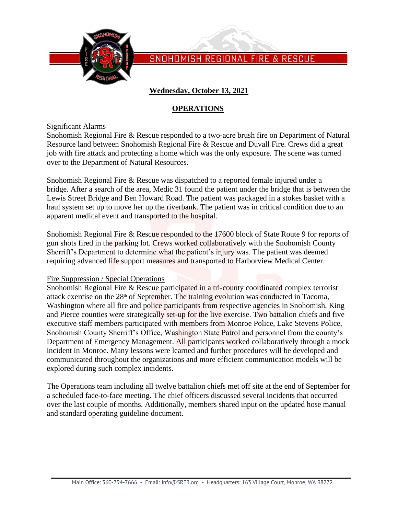

# **Wednesday, October 13, 2021**

## **OPERATIONS**

#### Significant Alarms

Snohomish Regional Fire & Rescue responded to a two-acre brush fire on Department of Natural Resource land between Snohomish Regional Fire & Rescue and Duvall Fire. Crews did a great job with fire attack and protecting a home which was the only exposure. The scene was turned over to the Department of Natural Resources.

Snohomish Regional Fire & Rescue was dispatched to a reported female injured under a bridge. After a search of the area, Medic 31 found the patient under the bridge that is between the Lewis Street Bridge and Ben Howard Road. The patient was packaged in a stokes basket with a haul system set up to move her up the riverbank. The patient was in critical condition due to an apparent medical event and transported to the hospital.

Snohomish Regional Fire & Rescue responded to the 17600 block of State Route 9 for reports of gun shots fired in the parking lot. Crews worked collaboratively with the Snohomish County Sherriff's Department to determine what the patient's injury was. The patient was deemed requiring advanced life support measures and transported to Harborview Medical Center.

#### Fire Suppression / Special Operations

Snohomish Regional Fire & Rescue participated in a tri-county coordinated complex terrorist attack exercise on the 28<sup>th</sup> of September. The training evolution was conducted in Tacoma, Washington where all fire and police participants from respective agencies in Snohomish, King and Pierce counties were strategically set-up for the live exercise. Two battalion chiefs and five executive staff members participated with members from Monroe Police, Lake Stevens Police, Snohomish County Sherriff's Office, Washington State Patrol and personnel from the county's Department of Emergency Management. All participants worked collaboratively through a mock incident in Monroe. Many lessons were learned and further procedures will be developed and communicated throughout the organizations and more efficient communication models will be explored during such complex incidents.

The Operations team including all twelve battalion chiefs met off site at the end of September for a scheduled face-to-face meeting. The chief officers discussed several incidents that occurred over the last couple of months. Additionally, members shared input on the updated hose manual and standard operating guideline document.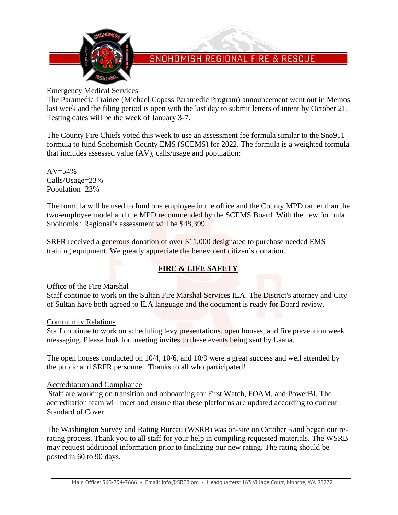

## Emergency Medical Services

The Paramedic Trainee (Michael Copass Paramedic Program) announcement went out in Memos last week and the filing period is open with the last day to submit letters of intent by October 21. Testing dates will be the week of January 3-7.

The County Fire Chiefs voted this week to use an assessment fee formula similar to the Sno911 formula to fund Snohomish County EMS (SCEMS) for 2022. The formula is a weighted formula that includes assessed value (AV), calls/usage and population:

 $AV = 54%$ Calls/Usage=23% Population=23%

The formula will be used to fund one employee in the office and the County MPD rather than the two-employee model and the MPD recommended by the SCEMS Board. With the new formula Snohomish Regional's assessment will be \$48,399.

SRFR received a generous donation of over \$11,000 designated to purchase needed EMS training equipment. We greatly appreciate the benevolent citizen's donation.

# **FIRE & LIFE SAFETY**

### Office of the Fire Marshal

Staff continue to work on the Sultan Fire Marshal Services ILA. The District's attorney and City of Sultan have both agreed to ILA language and the document is ready for Board review.

### Community Relations

Staff continue to work on scheduling levy presentations, open houses, and fire prevention week messaging. Please look for meeting invites to these events being sent by Laana.

The open houses conducted on 10/4, 10/6, and 10/9 were a great success and well attended by the public and SRFR personnel. Thanks to all who participated!

### Accreditation and Compliance

Staff are working on transition and onboarding for First Watch, FOAM, and PowerBI. The accreditation team will meet and ensure that these platforms are updated according to current Standard of Cover.

The Washington Survey and Rating Bureau (WSRB) was on-site on October 5 and began our rerating process. Thank you to all staff for your help in compiling requested materials. The WSRB may request additional information prior to finalizing our new rating. The rating should be posted in 60 to 90 days.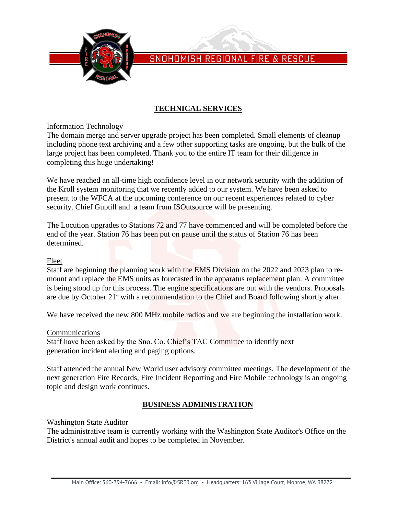

# **TECHNICAL SERVICES**

Information Technology

The domain merge and server upgrade project has been completed. Small elements of cleanup including phone text archiving and a few other supporting tasks are ongoing, but the bulk of the large project has been completed. Thank you to the entire IT team for their diligence in completing this huge undertaking!

We have reached an all-time high confidence level in our network security with the addition of the Kroll system monitoring that we recently added to our system. We have been asked to present to the WFCA at the upcoming conference on our recent experiences related to cyber security. Chief Guptill and a team from ISOutsource will be presenting.

The Locution upgrades to Stations 72 and 77 have commenced and will be completed before the end of the year. Station 76 has been put on pause until the status of Station 76 has been determined.

#### Fleet

Staff are beginning the planning work with the EMS Division on the 2022 and 2023 plan to remount and replace the EMS units as forecasted in the apparatus replacement plan. A committee is being stood up for this process. The engine specifications are out with the vendors. Proposals are due by October 21<sup>st</sup> with a recommendation to the Chief and Board following shortly after.

We have received the new 800 MHz mobile radios and we are beginning the installation work.

#### Communications

Staff have been asked by the Sno. Co. Chief's TAC Committee to identify next generation incident alerting and paging options.

Staff attended the annual New World user advisory committee meetings. The development of the next generation Fire Records, Fire Incident Reporting and Fire Mobile technology is an ongoing topic and design work continues.

### **BUSINESS ADMINISTRATION**

Washington State Auditor

The administrative team is currently working with the Washington State Auditor's Office on the District's annual audit and hopes to be completed in November.